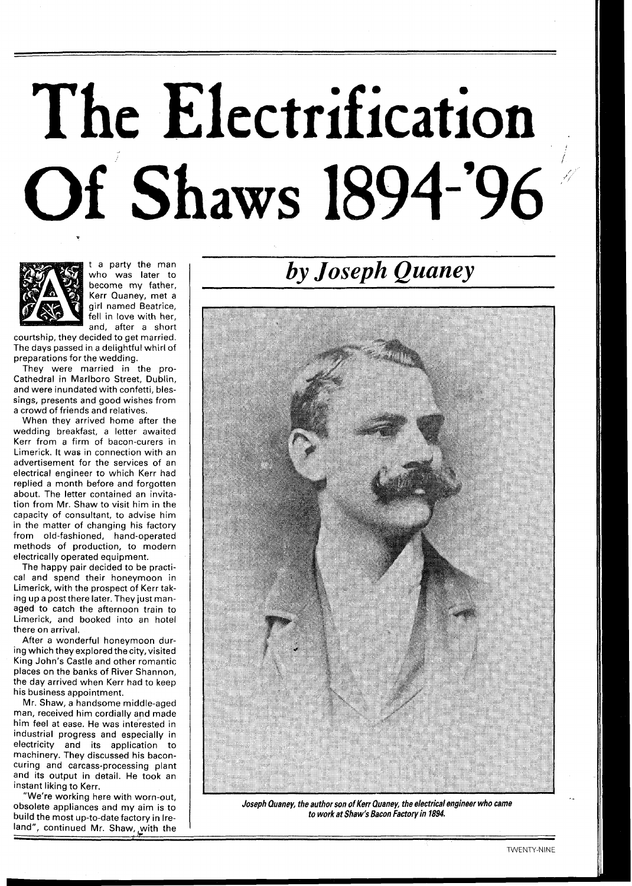## The Electrification<br>Of Shaws 1894-'96



t a party the man who was later to become my father, Kerr Quaney, met a girl named Beatrice, fell in love with her, and, after a short

courtship, they decided to get married. The days passed in a delightful whirl of preparations for the wedding.

They were married in the pro-Cathedral in Marlboro Street, Dublin, and were inundated with confetti, blessings, presents and good wishes from a crowd of friends and relatives.

When they arrived home after the wedding breakfast, a letter awaited Kerr from a firm of bacon-curers in Limerick. It was in connection with an advertisement for the services of an electrical engineer to which Kerr had replied a month before and forgotten about. The letter contained an invitation from Mr. Shaw to visit him in the capacity of consultant, to advise him in the matter of changing his factory from old-fashioned, hand-operated methods of production, to modern electrically operated equipment.

The happy pair decided to be practical and spend their honeymoon in Limerick, with the prospect of Kerr taking up a post there later. They just managed to catch the afternoon train to Limerick, and booked into an hotel there on arrival.

After a wonderful honeymoon during which they explored the city, visited King John's Castle and other romantic places on the banks of River Shannon, the day arrived when Kerr had to keep his business appointment.

Mr. Shaw, a handsome middle-aged man, received him cordially and made him feel at ease. He was interested in industrial progress and especially in electricity and its application to machinery. They discussed his baconcuring and carcass-processing plant and its output in detail. He took an instant liking to Kerr.

"We're working here with worn-out, obsolete appliances and my aim is to build the most up-to-date factory in Ireland", continued Mr. Shaw, with the

## *by Joseph Quaney*



**Joseph Quaney, the author son of Kerr Quaney, the electrical engineer who came to workat Shaw's Bacon Factory in 1894.**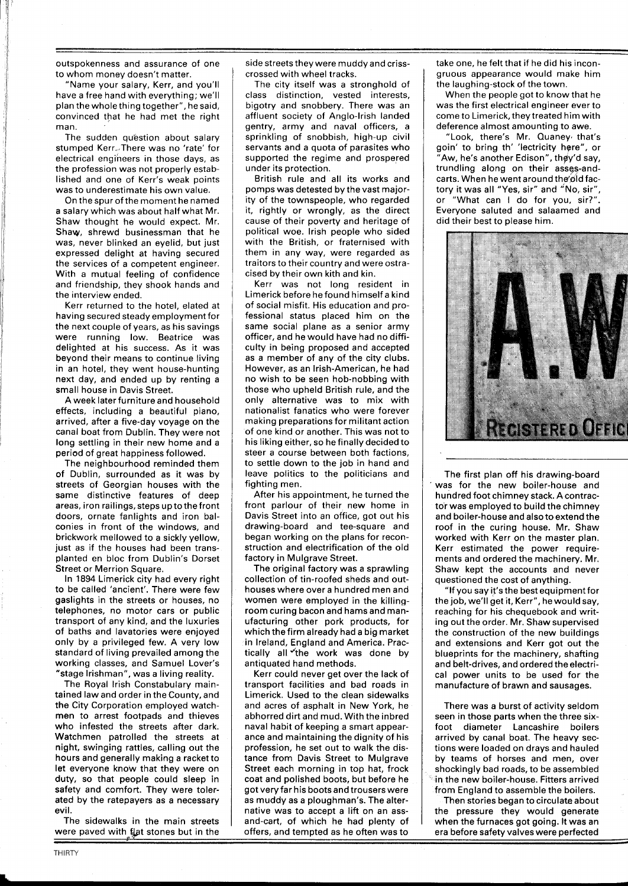outspokenness and assurance of one to whom money doesn't matter.

"Name your salary, Kerr, and you'll have a free hand with everything; we'll plan the whole thing together", he said, convinced that he had met the right man.

The sudden question about salary stumped Kerr. There was no 'rate' for electrical engineers in those days, as the profession was not properly established and one of Kerr's weak points was to underestimate his own value.

On the spur of the moment he named a salary which was about half what Mr. Shaw thought he would expect. Mr. Shaw, shrewd businessman that he was, never blinked an eyelid, but just expressed delight at having secured the services of a competent engineer. With a mutual feeling of confidence and friendship, they shook hands and the interview ended.

Kerr returned to the hotel, elated at having secured steady employment for the next couple of years, as his savings were running low. Beatrice was delighted at his success. As it was beyond their means to continue living in an hotel, they went house-hunting next day, and ended up by renting a small house in Davis Street.

A week later furniture and household effects, including a beautiful piano, arrived, after a five-day voyage on the canal boat from Dublin. They were not long settling in their new home and a period of great happiness followed.

The neighbourhood reminded them of Dublin, surrounded as it was by streets of Georgian houses with the same distinctive features of deep areas, iron railings, steps upto the front doors, ornate fanlights and iron balconies in front of the windows, and brickwork mellowed to a sickly yellow, just as if the houses had been transplanted en bloc from Dublin's Dorset Street or Merrion Square.

In 1894 Limerick city had every right to be called 'ancient'. There were few gaslights in the streets or houses, no telephones, no motor cars or public transport of any kind, and the luxuries of baths and lavatories were enjoyed only by a privileged few. A very low standard of living prevailed among the working classes, and Samuel Lover's "stage Irishman", was a living reality.

The Royal lrish Constabulary maintained law and order in the County, and the City Corporation employed watchmen to arrest footpads and thieves who infested the streets after dark. Watchmen patrolled the streets at night, swinging rattles, calling out the hours and generally making a racket to let everyone know that they were on duty, so that people could sleep in safety and comfort. They were tolerated by the ratepayers as a necessary evil.

The sidewalks in the main streets were paved with flat stones but in the side streets they were muddy and crisscrossed with wheel tracks.

The city itself was a stronghold of class distinction, vested interests, bigotry and snobbery. There was an affluent society of Anglo-Irish landed gentry, army and naval officers, a sprinkling of snobbish, high-up civil servants and a quota of parasites who supported the regime and prospered under its protection.

British rule and all its works and pomps was detested by the vast majority of the townspeople, who regarded it, rightly or wrongly, as the direct cause of their poverty and heritage of political woe. lrish people who sided with the British, or fraternised with them in any way, were regarded as traitors to their country and were ostracised by their own kith and kin.

Kerr was not long resident in Limerick before he found himself a kind of social misfit. His education and professional status placed him on the same social plane as a senior army officer, and he would have had no difficulty in being proposed and accepted as a member of any of the city clubs. However, as an Irish-American, he had no wish to be seen hob-nobbing with those who upheld British rule, and the only alternative was to mix with nationalist fanatics who were forever making preparations for militant action of one kind or another. This was not to his liking either, so he finally decided to steer a course between both factions, to settle down to the job in hand and leave politics to the politicians and fighting men.

After his appointment, he turned the front parlour of their new home in Davis Street into an office, got out his drawing-board and tee-square and began working on the plans for reconstruction and electrification of the old factory in Mulgrave Street.

The original factory was a sprawling collection of tin-roofed sheds and outhouses where over a hundred men and women were employed in the killingroom curing bacon and hams and manufacturing other pork products, for which the firm already had a big market in Ireland, England and America. Practically all the work was done by antiquated hand methods.

Kerr could never get over the lack of transport facilities and bad roads in Limerick. Used to the clean sidewalks and acres of asphalt in New York, he abhorred dirt and mud. With the inbred naval habit of keeping a smart appearance and maintaining the dignity of his profession, he set out to walk the distance from Davis Street to Mulgrave Street each morning in top hat, frock coat and polished boots, but before he got very far his boots and trousers were as muddy as a ploughman's. The alternative was to accept a lift on an assand-cart, of which he had plenty of offers, and tempted as he often was to

take one, he felt that if he did his incongruous appearance would make him the laughing-stock of the town.

When the people got to know that he was the first electrical engineer ever to come to Limerick, they treated him with deference almost amounting to awe.

"Look, there's Mr. Quaney. that's goin' to bring th' 'lectricity here", or 'Aw, he's another Edison", they'd say, trundling along on their asses-andcarts. When he went around the old factory it was all "Yes, sir" and "No, sir", or "What can I do for you, sir?". Everyone saluted and salaamed and did their best to please him.



The first plan off his drawing-board was for the new boiler-house and hundred foot chimney stack. **A** contractor was employed to build the chimney and boiler-house and also to extend the roof in the curing house. Mr. Shaw worked with Kerr on the master plan. Kerr estimated the power requirements and ordered the machinery. Mr. Shaw kept the accounts and never questioned the cost of anything.

"If you say it's the best equipment for the job, we'll get it, Kerr", he would say, reaching for his chequebook and writing out the order. Mr. Shaw supervised the construction of the new buildings and extensions and Kerr got out the blueprints for the machinery, shafting and belt-drives, and ordered the electrical power units to be used for the manufacture of brawn and sausages.

There was a burst of activity seldom seen in those parts when the three sixfoot diameter Lancashire boilers arrived by canal boat. The heavy sections were loaded on drays and hauled by teams of horses and men, over shockingly bad roads, to be assembled in the new boiler-house. Fitters arrived from England to assemble the boilers.

Then stories began to circulate about the pressure they would generate when the furnaces got going. It was an era before safety valves were perfected **4..**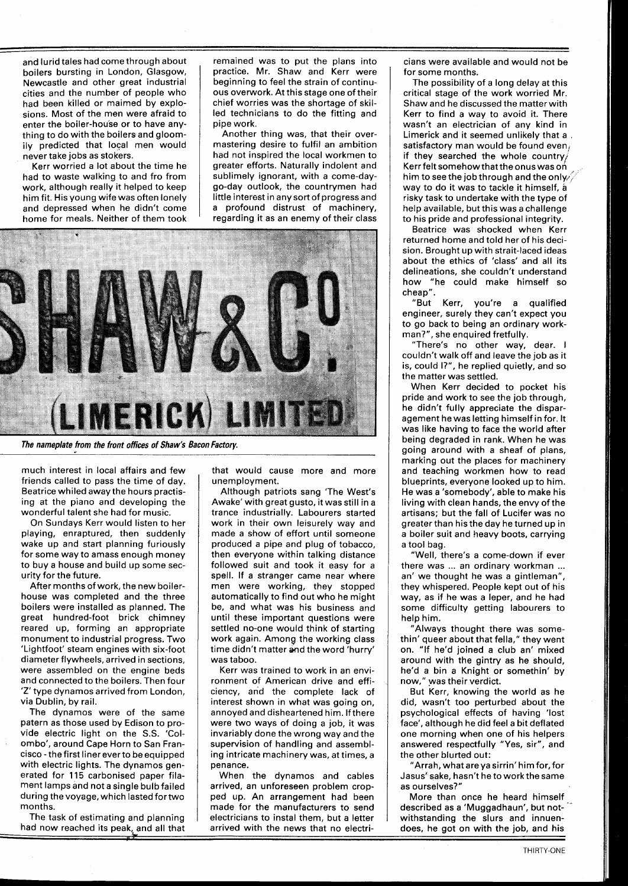and lurid tales had come through about boilers bursting in London, Glasgow, Newcastle and other great industrial cities and the number of people who had been killed or maimed by explosions. Most of the men were afraid to enter the boiler-house or to have anything to do with the boilers and gloomily predicted that local men would never take jobs as stokers.

Kerr worried a lot about the time he had to waste walking to and fro from work, although really it helped to keep him fit. His young wife was often lonely and depressed when he didn't come home for meals. Neither of them took

remained was to put the plans into practice. Mr. Shaw and Kerr were beginning to feel the strain of continuous overwork. At this stage one of their chief worries was the shortage of skilled technicians to do the fitting and pipe work.

Another thing was, that their overmastering desire to fulfil an ambition had not inspired the local workmen to greater efforts. Naturally indolent and sublimely ignorant, with a come-daygo-day outlook, the countrymen had little interest in any sort of progress and a profound distrust of machinery, regarding it as an enemy of their class



much interest in local affairs and few friends called to pass the time of day. Beatrice whiled away the hours practising at the piano and developing the wonderful talent she had for music.

On Sundays Kerr would listen to her playing, enraptured, then suddenly wake up and start planning furiously for some way to amass enough money to buy a house and build up some security for the future.

After months of work, the new boilerhouse was completed and the three boilers were installed as planned. The great hundred-foot brick chimney reared up, forming an appropriate monument to industrial progress. Two 'Lightfoot' steam engines with six-foot diameter flywheels, arrived in sections, were assembled on the engine beds and connected to the boilers. Then four 'Z' type dynamos arrived from London, via Dublin, by rail.

The dynamos were of the same patern as those used by Edison to provide electric light on the S.S. 'Colombo', around Cape Horn to San Francisco -the first liner everto be equipped with electric lights. The dynamos generated for 115 carbonised paper filament lamps and not a single bulb failed during the voyage, which lasted for two months.

The task of estimating and planning had now reached its peak, and all that that would cause more and more unemployment.

Although patriots sang 'The West's Awake' with great gusto, it was still in a trance industrially. Labourers started work in their own leisurely way and made a show of effort until someone produced a pipe and plug of tobacco, then everyone within talking distance followed suit and took it easy for a spell. If a stranger came near where men were working, they stopped automatically to find out who he might be, and what was his business and until these important questions were settled no-one would think of starting work again. Among the working class time didn't matter and the word 'hurry' was taboo.

Kerr was trained to work in an environment of American drive and efficiency, and the complete lack of interest shown in what was going on, annoyed and disheartened him. If there were two ways of doing a job, it was invariably done the wrong way and the supervision of handling and assembling intricate machinery was, at times, a penance.

When the dynamos and cables arrived, an unforeseen problem cropped up. An arrangement had been made for the manufacturers to send electricians to instal them, but a letter arrived with the news that no electri-

cians were available and would not be for some months.

The possibility of a long delay at this critical stage of the work worried Mr. Shaw and he discussed the matter with Kerr to find a way to avoid it. There wasn't an electrician of any kind in Limerick and it seemed unlikely that a .<br>satisfactory man would be found even. if they searched the whole country/ Kerr felt somehow that the onus was on him to see the job through and the only, way to do it was to tackle it himself, a risky task to undertake with the type of help available, but this was a challenge to his pride and professional integrity.

Beatrice was shocked when Kerr returned home and told her of his decision. Brought up with strait-laced ideas about the ethics of 'class' and all its delineations, she couldn't understand how "he could make himself so cheap".

Kerr, you're a qualified engineer, surely they can't expect you to go back to being an ordinary workman?", she enquired fretfully.

"There's no other way, dear. I couldn't walk off and leave the job as it is, could I?", he replied quietly, and so the matter was settled.

When Kerr decided to pocket his pride and work to see the job through, he didn't fully appreciate the disparagement he was letting himself in for. It was like having to face the world after being degraded in rank. When he was going around with a sheaf of plans, marking out the places for machinery and teaching workmen how to read blueprints, everyone looked up to him. He was a 'somebody', able to make his living with clean hands, the envy of the artisans; but the fall of Lucifer was no greater than his the day he turned up in a boiler suit and heavy boots, carrying a tool bag.

"Well, there's a come-down if ever there was ... an ordinary workman ... an' we thought he was a gintleman", they whispered. People kept out of his way, as if he was a leper, and he had some difficulty getting labourers to help him.

"Always thought there was somethin' queer about that fella," they went on. "If he'd joined a club an' mixed around with the gintry as he should, he'd a bin a Knight or somethin' by now," was their verdict.

But Kerr, knowing the world as he did, wasn't too perturbed about the psychological effects of having 'lost face', although he did feel a bit deflated one morning when one of his helpers answered respectfully "Yes, sir", and the other blurted out:

"Arrah, what are ya sirrin' him for,for Jasus'sake, hasn't he to work the same as ourselves?"

More than once he heard himself described as a 'Muggadhaun', but notwithstanding the slurs and innuendoes, he got on with the job, and his